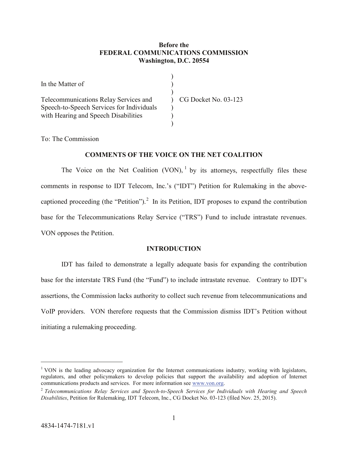# **Before the FEDERAL COMMUNICATIONS COMMISSION Washington, D.C. 20554**

| In the Matter of                                                                                                           |                      |
|----------------------------------------------------------------------------------------------------------------------------|----------------------|
| Telecommunications Relay Services and<br>Speech-to-Speech Services for Individuals<br>with Hearing and Speech Disabilities | CG Docket No. 03-123 |

To: The Commission

# **COMMENTS OF THE VOICE ON THE NET COALITION**

The Voice on the Net Coalition (VON),  $\frac{1}{1}$  $\frac{1}{1}$  $\frac{1}{1}$  by its attorneys, respectfully files these comments in response to IDT Telecom, Inc.'s ("IDT") Petition for Rulemaking in the above-captioned proceeding (the "Petition").<sup>[2](#page-0-1)</sup> In its Petition, IDT proposes to expand the contribution base for the Telecommunications Relay Service ("TRS") Fund to include intrastate revenues. VON opposes the Petition.

# **INTRODUCTION**

IDT has failed to demonstrate a legally adequate basis for expanding the contribution base for the interstate TRS Fund (the "Fund") to include intrastate revenue. Contrary to IDT's assertions, the Commission lacks authority to collect such revenue from telecommunications and VoIP providers. VON therefore requests that the Commission dismiss IDT's Petition without initiating a rulemaking proceeding.

<span id="page-0-0"></span><sup>&</sup>lt;sup>1</sup> VON is the leading advocacy organization for the Internet communications industry, working with legislators, regulators, and other policymakers to develop policies that support the availability and adoption of Internet communications products and services. For more information see [www.von.org.](http://www.von.org/)

<span id="page-0-1"></span><sup>2</sup> *Telecommunications Relay Services and Speech-to-Speech Services for Individuals with Hearing and Speech Disabilities*, Petition for Rulemaking, IDT Telecom, Inc., CG Docket No. 03-123 (filed Nov. 25, 2015).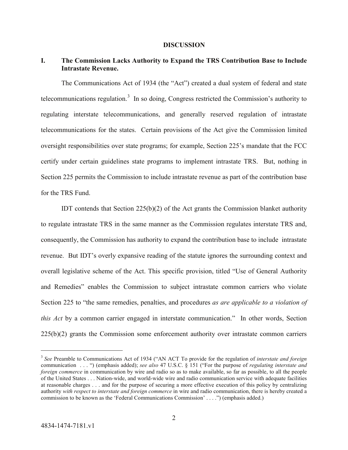#### **DISCUSSION**

## **I. The Commission Lacks Authority to Expand the TRS Contribution Base to Include Intrastate Revenue.**

The Communications Act of 1934 (the "Act") created a dual system of federal and state telecommunications regulation.<sup>[3](#page-1-0)</sup> In so doing, Congress restricted the Commission's authority to regulating interstate telecommunications, and generally reserved regulation of intrastate telecommunications for the states. Certain provisions of the Act give the Commission limited oversight responsibilities over state programs; for example, Section 225's mandate that the FCC certify under certain guidelines state programs to implement intrastate TRS. But, nothing in Section 225 permits the Commission to include intrastate revenue as part of the contribution base for the TRS Fund.

IDT contends that Section 225(b)(2) of the Act grants the Commission blanket authority to regulate intrastate TRS in the same manner as the Commission regulates interstate TRS and, consequently, the Commission has authority to expand the contribution base to include intrastate revenue. But IDT's overly expansive reading of the statute ignores the surrounding context and overall legislative scheme of the Act. This specific provision, titled "Use of General Authority and Remedies" enables the Commission to subject intrastate common carriers who violate Section 225 to "the same remedies, penalties, and procedures *as are applicable to a violation of this Act* by a common carrier engaged in interstate communication." In other words, Section  $225(b)(2)$  grants the Commission some enforcement authority over intrastate common carriers

<span id="page-1-0"></span> <sup>3</sup> *See* Preamble to Communications Act of 1934 ("AN ACT To provide for the regulation of *interstate and foreign* communication . . . ") (emphasis added); *see also* 47 U.S.C. § 151 ("For the purpose of *regulating interstate and foreign commerce* in communication by wire and radio so as to make available, so far as possible, to all the people of the United States . . . Nation-wide, and world-wide wire and radio communication service with adequate facilities at reasonable charges . . . and for the purpose of securing a more effective execution of this policy by centralizing authority *with respect to interstate and foreign commerce* in wire and radio communication, there is hereby created a commission to be known as the 'Federal Communications Commission' . . . .") (emphasis added.)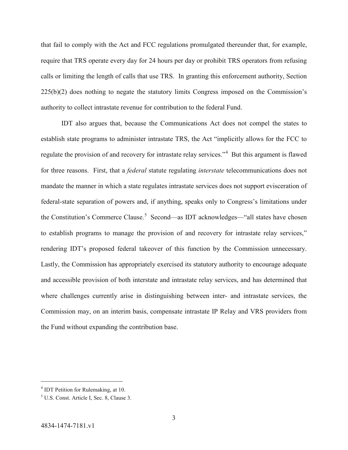that fail to comply with the Act and FCC regulations promulgated thereunder that, for example, require that TRS operate every day for 24 hours per day or prohibit TRS operators from refusing calls or limiting the length of calls that use TRS. In granting this enforcement authority, Section  $225(b)(2)$  does nothing to negate the statutory limits Congress imposed on the Commission's authority to collect intrastate revenue for contribution to the federal Fund.

IDT also argues that, because the Communications Act does not compel the states to establish state programs to administer intrastate TRS, the Act "implicitly allows for the FCC to regulate the provision of and recovery for intrastate relay services."<sup>[4](#page-2-0)</sup> But this argument is flawed for three reasons. First, that a *federal* statute regulating *interstate* telecommunications does not mandate the manner in which a state regulates intrastate services does not support evisceration of federal-state separation of powers and, if anything, speaks only to Congress's limitations under the Constitution's Commerce Clause.<sup>[5](#page-2-1)</sup> Second—as IDT acknowledges—"all states have chosen to establish programs to manage the provision of and recovery for intrastate relay services," rendering IDT's proposed federal takeover of this function by the Commission unnecessary. Lastly, the Commission has appropriately exercised its statutory authority to encourage adequate and accessible provision of both interstate and intrastate relay services, and has determined that where challenges currently arise in distinguishing between inter- and intrastate services, the Commission may, on an interim basis, compensate intrastate IP Relay and VRS providers from the Fund without expanding the contribution base.

<span id="page-2-0"></span> <sup>4</sup> IDT Petition for Rulemaking, at 10.

<span id="page-2-1"></span><sup>5</sup> U.S. Const. Article I, Sec. 8, Clause 3.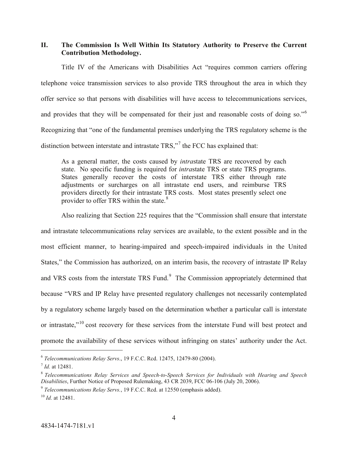**II. The Commission Is Well Within Its Statutory Authority to Preserve the Current Contribution Methodology.**

Title IV of the Americans with Disabilities Act "requires common carriers offering telephone voice transmission services to also provide TRS throughout the area in which they offer service so that persons with disabilities will have access to telecommunications services, and provides that they will be compensated for their just and reasonable costs of doing so."<sup>[6](#page-3-0)</sup> Recognizing that "one of the fundamental premises underlying the TRS regulatory scheme is the distinction between interstate and intrastate  $TRS$ ,"<sup>[7](#page-3-1)</sup> the FCC has explained that:

As a general matter, the costs caused by *intra*state TRS are recovered by each state. No specific funding is required for *intra*state TRS or state TRS programs. States generally recover the costs of interstate TRS either through rate adjustments or surcharges on all intrastate end users, and reimburse TRS providers directly for their intrastate TRS costs. Most states presently select one provider to offer TRS within the state.<sup>[8](#page-3-2)</sup>

Also realizing that Section 225 requires that the "Commission shall ensure that interstate and intrastate telecommunications relay services are available, to the extent possible and in the most efficient manner, to hearing-impaired and speech-impaired individuals in the United States," the Commission has authorized, on an interim basis, the recovery of intrastate IP Relay and VRS costs from the interstate TRS Fund.<sup>[9](#page-3-3)</sup> The Commission appropriately determined that because "VRS and IP Relay have presented regulatory challenges not necessarily contemplated by a regulatory scheme largely based on the determination whether a particular call is interstate or intrastate,"<sup>[10](#page-3-4)</sup> cost recovery for these services from the interstate Fund will best protect and promote the availability of these services without infringing on states' authority under the Act.

<span id="page-3-0"></span> <sup>6</sup> *Telecommunications Relay Servs*., 19 F.C.C. Rcd. 12475, 12479-80 (2004).

<span id="page-3-1"></span><sup>7</sup> *Id.* at 12481.

<span id="page-3-2"></span><sup>8</sup> *Telecommunications Relay Services and Speech-to-Speech Services for Individuals with Hearing and Speech Disabilities*, Further Notice of Proposed Rulemaking, 43 CR 2039, FCC 06-106 (July 20, 2006). 9 *Telecommunications Relay Servs.*, 19 F.C.C. Rcd. at 12550 (emphasis added).

<span id="page-3-3"></span>

<span id="page-3-4"></span><sup>10</sup> *Id.* at 12481.